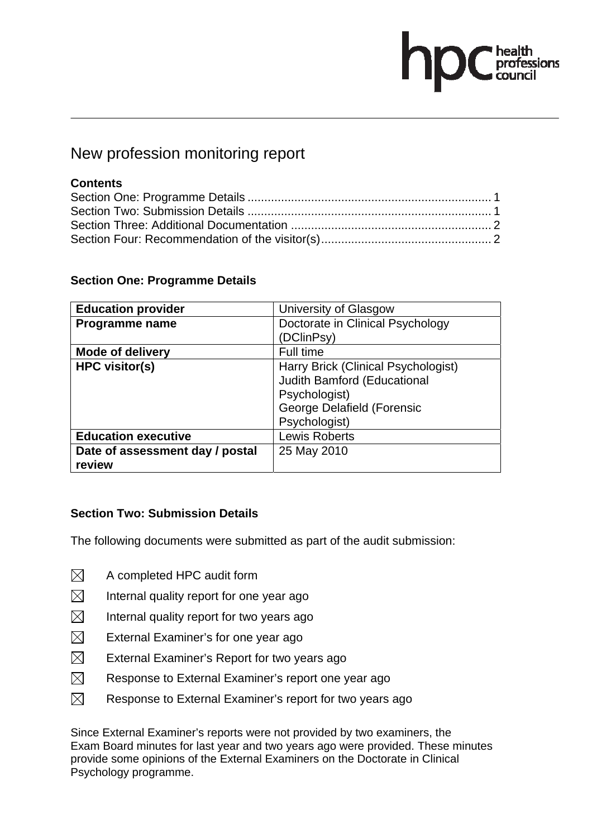# ofessions

# New profession monitoring report

## **Contents**

### **Section One: Programme Details**

| <b>Education provider</b>       | University of Glasgow               |
|---------------------------------|-------------------------------------|
| Programme name                  | Doctorate in Clinical Psychology    |
|                                 | (DClinPsy)                          |
| <b>Mode of delivery</b>         | Full time                           |
| <b>HPC visitor(s)</b>           | Harry Brick (Clinical Psychologist) |
|                                 | Judith Bamford (Educational         |
|                                 | Psychologist)                       |
|                                 | <b>George Delafield (Forensic</b>   |
|                                 | Psychologist)                       |
| <b>Education executive</b>      | <b>Lewis Roberts</b>                |
| Date of assessment day / postal | 25 May 2010                         |
| review                          |                                     |

### **Section Two: Submission Details**

The following documents were submitted as part of the audit submission:

- $\boxtimes$  A completed HPC audit form
- $\boxtimes$  Internal quality report for one year ago
- $\boxtimes$  Internal quality report for two years ago
- $\boxtimes$  External Examiner's for one year ago
- $\boxtimes$  External Examiner's Report for two years ago
- $\boxtimes$  Response to External Examiner's report one year ago
- $\boxtimes$  Response to External Examiner's report for two years ago

Since External Examiner's reports were not provided by two examiners, the Exam Board minutes for last year and two years ago were provided. These minutes provide some opinions of the External Examiners on the Doctorate in Clinical Psychology programme.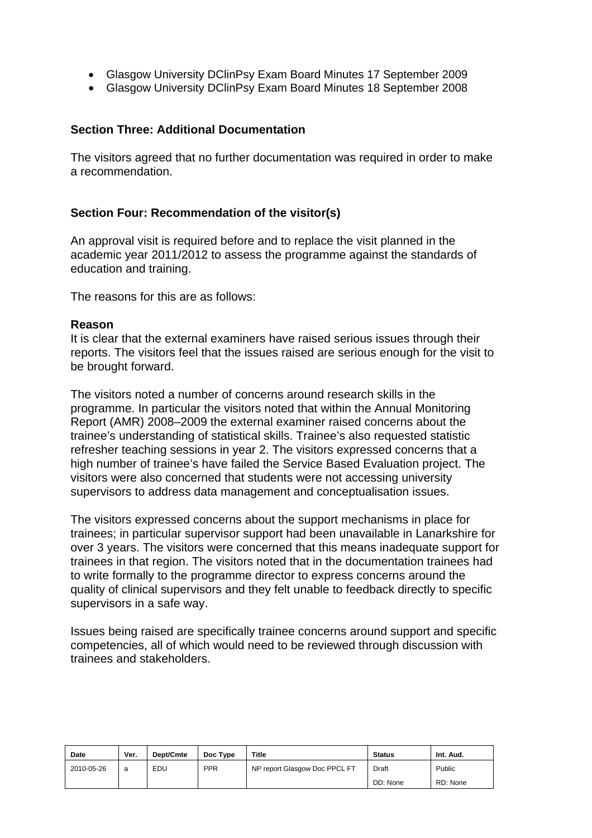- Glasgow University DClinPsy Exam Board Minutes 17 September 2009
- Glasgow University DClinPsy Exam Board Minutes 18 September 2008

### **Section Three: Additional Documentation**

The visitors agreed that no further documentation was required in order to make a recommendation.

### **Section Four: Recommendation of the visitor(s)**

An approval visit is required before and to replace the visit planned in the academic year 2011/2012 to assess the programme against the standards of education and training.

The reasons for this are as follows:

#### **Reason**

It is clear that the external examiners have raised serious issues through their reports. The visitors feel that the issues raised are serious enough for the visit to be brought forward.

The visitors noted a number of concerns around research skills in the programme. In particular the visitors noted that within the Annual Monitoring Report (AMR) 2008–2009 the external examiner raised concerns about the trainee's understanding of statistical skills. Trainee's also requested statistic refresher teaching sessions in year 2. The visitors expressed concerns that a high number of trainee's have failed the Service Based Evaluation project. The visitors were also concerned that students were not accessing university supervisors to address data management and conceptualisation issues.

The visitors expressed concerns about the support mechanisms in place for trainees; in particular supervisor support had been unavailable in Lanarkshire for over 3 years. The visitors were concerned that this means inadequate support for trainees in that region. The visitors noted that in the documentation trainees had to write formally to the programme director to express concerns around the quality of clinical supervisors and they felt unable to feedback directly to specific supervisors in a safe way.

Issues being raised are specifically trainee concerns around support and specific competencies, all of which would need to be reviewed through discussion with trainees and stakeholders.

| <b>Date</b> | Ver. | Dept/Cmte | Doc Type   | <b>Title</b>                  | <b>Status</b> | Int. Aud. |
|-------------|------|-----------|------------|-------------------------------|---------------|-----------|
| 2010-05-26  | a    | EDU       | <b>PPR</b> | NP report Glasgow Doc PPCL FT | Draft         | Public    |
|             |      |           |            |                               | DD: None      | RD: None  |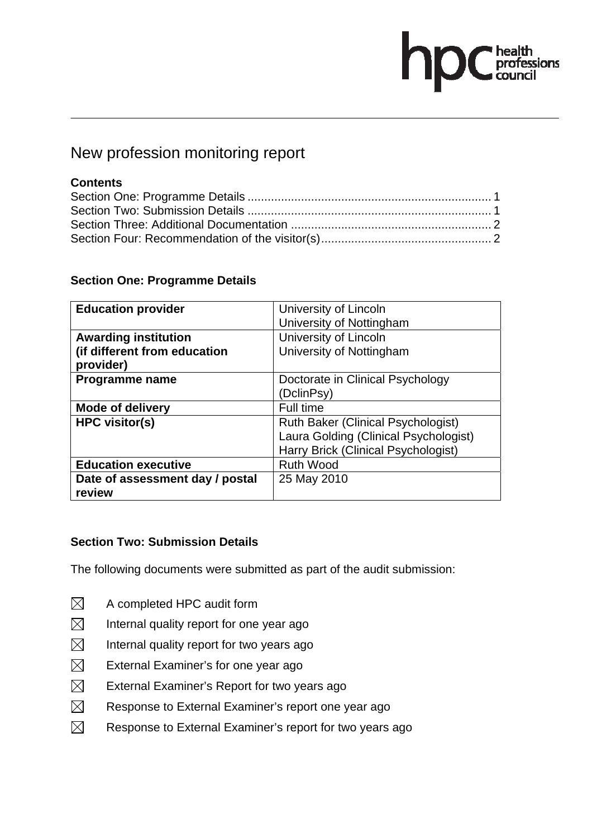# **C** health<br>C council

# New profession monitoring report

## **Contents**

### **Section One: Programme Details**

| <b>Education provider</b>       | University of Lincoln<br>University of Nottingham |
|---------------------------------|---------------------------------------------------|
|                                 |                                                   |
| <b>Awarding institution</b>     | University of Lincoln                             |
| (if different from education    | University of Nottingham                          |
| provider)                       |                                                   |
| Programme name                  | Doctorate in Clinical Psychology                  |
|                                 | (DclinPsy)                                        |
| <b>Mode of delivery</b>         | Full time                                         |
| <b>HPC</b> visitor(s)           | Ruth Baker (Clinical Psychologist)                |
|                                 | Laura Golding (Clinical Psychologist)             |
|                                 | Harry Brick (Clinical Psychologist)               |
| <b>Education executive</b>      | <b>Ruth Wood</b>                                  |
| Date of assessment day / postal | 25 May 2010                                       |
| review                          |                                                   |

### **Section Two: Submission Details**

The following documents were submitted as part of the audit submission:

- $\boxtimes$  A completed HPC audit form
- $\boxtimes$  Internal quality report for one year ago
- $\boxtimes$  Internal quality report for two years ago
- $\boxtimes$  External Examiner's for one year ago
- $\boxtimes$  External Examiner's Report for two years ago
- $\boxtimes$  Response to External Examiner's report one year ago
- $\boxtimes$  Response to External Examiner's report for two years ago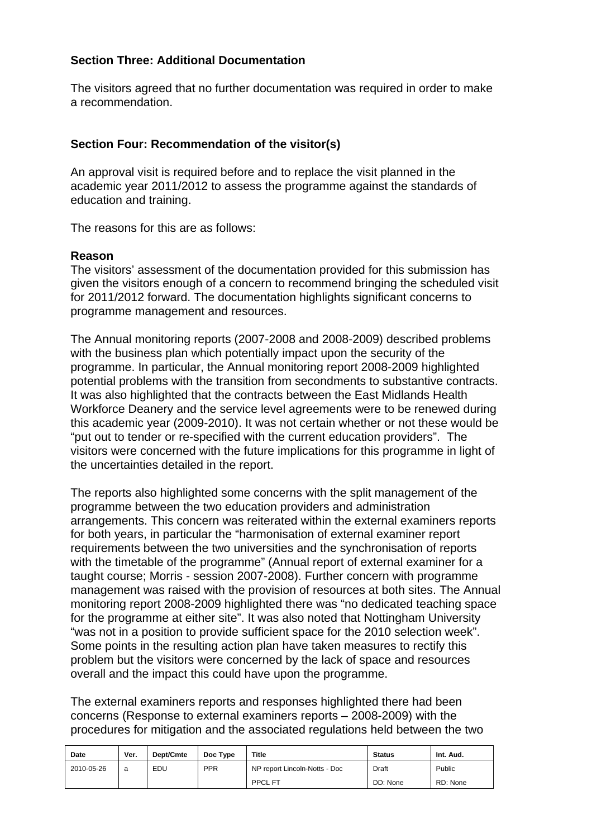### **Section Three: Additional Documentation**

The visitors agreed that no further documentation was required in order to make a recommendation.

### **Section Four: Recommendation of the visitor(s)**

An approval visit is required before and to replace the visit planned in the academic year 2011/2012 to assess the programme against the standards of education and training.

The reasons for this are as follows:

### **Reason**

The visitors' assessment of the documentation provided for this submission has given the visitors enough of a concern to recommend bringing the scheduled visit for 2011/2012 forward. The documentation highlights significant concerns to programme management and resources.

The Annual monitoring reports (2007-2008 and 2008-2009) described problems with the business plan which potentially impact upon the security of the programme. In particular, the Annual monitoring report 2008-2009 highlighted potential problems with the transition from secondments to substantive contracts. It was also highlighted that the contracts between the East Midlands Health Workforce Deanery and the service level agreements were to be renewed during this academic year (2009-2010). It was not certain whether or not these would be "put out to tender or re-specified with the current education providers". The visitors were concerned with the future implications for this programme in light of the uncertainties detailed in the report.

The reports also highlighted some concerns with the split management of the programme between the two education providers and administration arrangements. This concern was reiterated within the external examiners reports for both years, in particular the "harmonisation of external examiner report requirements between the two universities and the synchronisation of reports with the timetable of the programme" (Annual report of external examiner for a taught course; Morris - session 2007-2008). Further concern with programme management was raised with the provision of resources at both sites. The Annual monitoring report 2008-2009 highlighted there was "no dedicated teaching space for the programme at either site". It was also noted that Nottingham University "was not in a position to provide sufficient space for the 2010 selection week". Some points in the resulting action plan have taken measures to rectify this problem but the visitors were concerned by the lack of space and resources overall and the impact this could have upon the programme.

The external examiners reports and responses highlighted there had been concerns (Response to external examiners reports – 2008-2009) with the procedures for mitigation and the associated regulations held between the two

| Date       | Ver. | Dept/Cmte | Doc Type   | Title                         | <b>Status</b> | Int. Aud. |
|------------|------|-----------|------------|-------------------------------|---------------|-----------|
| 2010-05-26 | a    | EDU       | <b>PPR</b> | NP report Lincoln-Notts - Doc | Draft         | Public    |
|            |      |           |            | <b>PPCL FT</b>                | DD: None      | RD: None  |